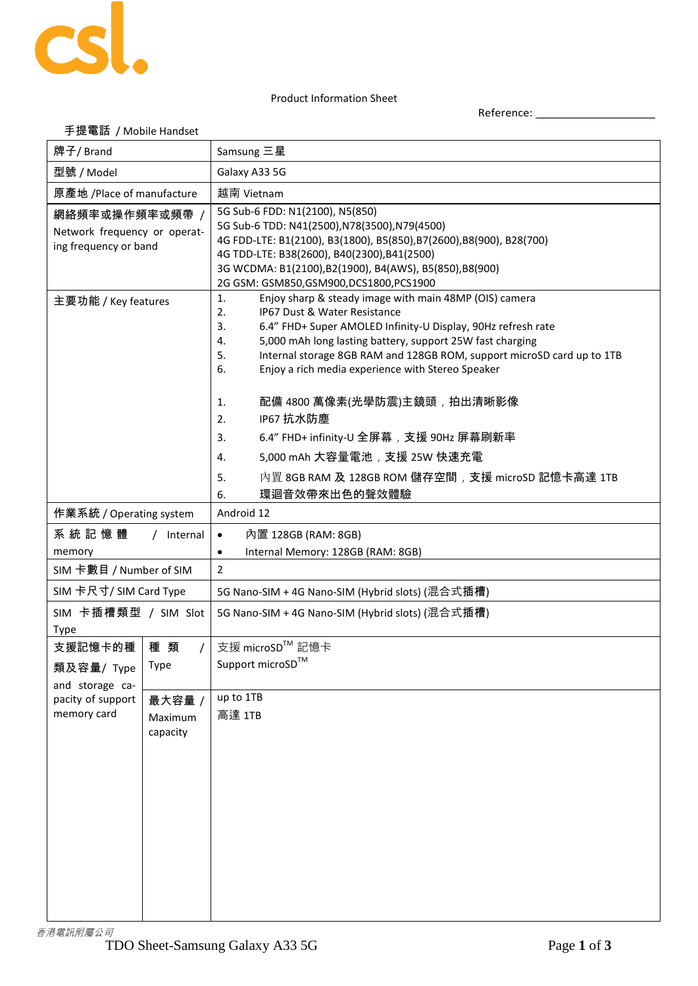

## Product Information Sheet

Reference: \_\_\_\_\_\_\_\_\_\_\_\_\_\_\_\_\_\_\_\_

| 手提電話 / Mobile Handset                                                   |                               |                                                                                                                                                                                                                                                                                                                                                                                                                                                                                                                                                                                                                          |  |
|-------------------------------------------------------------------------|-------------------------------|--------------------------------------------------------------------------------------------------------------------------------------------------------------------------------------------------------------------------------------------------------------------------------------------------------------------------------------------------------------------------------------------------------------------------------------------------------------------------------------------------------------------------------------------------------------------------------------------------------------------------|--|
| 牌子/ Brand                                                               |                               | Samsung 三星                                                                                                                                                                                                                                                                                                                                                                                                                                                                                                                                                                                                               |  |
| 型號 / Model                                                              |                               | Galaxy A33 5G                                                                                                                                                                                                                                                                                                                                                                                                                                                                                                                                                                                                            |  |
| 原產地 /Place of manufacture                                               |                               | 越南 Vietnam                                                                                                                                                                                                                                                                                                                                                                                                                                                                                                                                                                                                               |  |
| 網絡頻率或操作頻率或頻帶 /<br>Network frequency or operat-<br>ing frequency or band |                               | 5G Sub-6 FDD: N1(2100), N5(850)<br>5G Sub-6 TDD: N41(2500), N78(3500), N79(4500)<br>4G FDD-LTE: B1(2100), B3(1800), B5(850),B7(2600),B8(900), B28(700)<br>4G TDD-LTE: B38(2600), B40(2300), B41(2500)<br>3G WCDMA: B1(2100),B2(1900), B4(AWS), B5(850),B8(900)<br>2G GSM: GSM850, GSM900, DCS1800, PCS1900                                                                                                                                                                                                                                                                                                               |  |
| 主要功能 / Key features                                                     |                               | Enjoy sharp & steady image with main 48MP (OIS) camera<br>1.<br>IP67 Dust & Water Resistance<br>2.<br>6.4" FHD+ Super AMOLED Infinity-U Display, 90Hz refresh rate<br>3.<br>5,000 mAh long lasting battery, support 25W fast charging<br>4.<br>Internal storage 8GB RAM and 128GB ROM, support microSD card up to 1TB<br>5.<br>Enjoy a rich media experience with Stereo Speaker<br>6.<br>配備 4800 萬像素(光學防震)主鏡頭 , 拍出清晰影像<br>1.<br>IP67 抗水防塵<br>2.<br>6.4" FHD+ infinity-U 全屏幕,支援 90Hz 屏幕刷新率<br>3.<br>5,000 mAh 大容量電池, 支援 25W 快速充電<br>4.<br>內置 8GB RAM 及 128GB ROM 儲存空間, 支援 microSD 記憶卡高達 1TB<br>5.<br>環迴音效帶來出色的聲效體驗<br>6. |  |
| 作業系統 / Operating system                                                 |                               | Android 12                                                                                                                                                                                                                                                                                                                                                                                                                                                                                                                                                                                                               |  |
| 系統記憶體<br>/ Internal<br>memory                                           |                               | 內置 128GB (RAM: 8GB)<br>$\bullet$<br>Internal Memory: 128GB (RAM: 8GB)<br>$\bullet$                                                                                                                                                                                                                                                                                                                                                                                                                                                                                                                                       |  |
| SIM 卡數目 / Number of SIM                                                 |                               | 2                                                                                                                                                                                                                                                                                                                                                                                                                                                                                                                                                                                                                        |  |
| SIM 卡尺寸/ SIM Card Type                                                  |                               | 5G Nano-SIM + 4G Nano-SIM (Hybrid slots) (混合式插槽)                                                                                                                                                                                                                                                                                                                                                                                                                                                                                                                                                                         |  |
| SIM 卡插槽類型 / SIM Slot<br><b>Type</b>                                     |                               | 5G Nano-SIM + 4G Nano-SIM (Hybrid slots) (混合式插槽)                                                                                                                                                                                                                                                                                                                                                                                                                                                                                                                                                                         |  |
| 支援記憶卡的種<br>類及容量/ Type<br>and storage ca-                                | 種類<br><b>Type</b>             | 支援 microSD™ 記憶卡<br>Support microSD™                                                                                                                                                                                                                                                                                                                                                                                                                                                                                                                                                                                      |  |
| pacity of support<br>memory card                                        | 最大容量 /<br>Maximum<br>capacity | up to 1TB<br>高達 1TB                                                                                                                                                                                                                                                                                                                                                                                                                                                                                                                                                                                                      |  |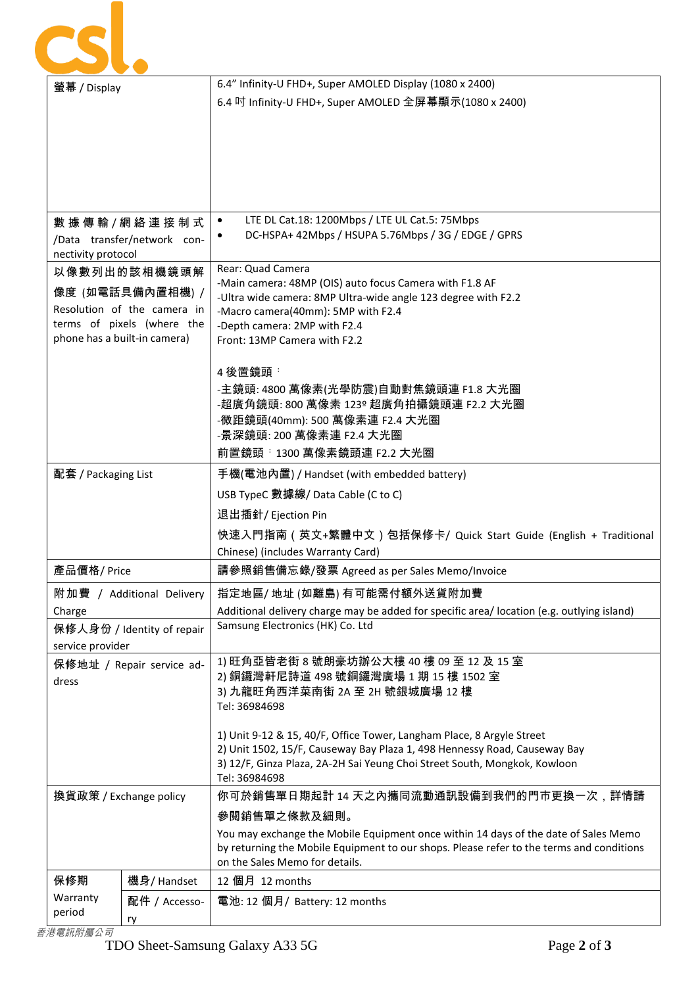|                                                                                                                               |               | 6.4" Infinity-U FHD+, Super AMOLED Display (1080 x 2400)                                                                                                                                                                                            |
|-------------------------------------------------------------------------------------------------------------------------------|---------------|-----------------------------------------------------------------------------------------------------------------------------------------------------------------------------------------------------------------------------------------------------|
| 螢幕 / Display                                                                                                                  |               | 6.4 吋 Infinity-U FHD+, Super AMOLED 全屏幕顯示(1080 x 2400)                                                                                                                                                                                              |
|                                                                                                                               |               |                                                                                                                                                                                                                                                     |
| 數 據 傳 輸 / 網 絡 連 接 制 式<br>/Data transfer/network con-<br>nectivity protocol                                                    |               | LTE DL Cat.18: 1200Mbps / LTE UL Cat.5: 75Mbps<br>$\bullet$<br>DC-HSPA+ 42Mbps / HSUPA 5.76Mbps / 3G / EDGE / GPRS                                                                                                                                  |
| 以像數列出的該相機鏡頭解<br>像度 (如電話具備內置相機) /<br>Resolution of the camera in<br>terms of pixels (where the<br>phone has a built-in camera) |               | Rear: Quad Camera<br>-Main camera: 48MP (OIS) auto focus Camera with F1.8 AF<br>-Ultra wide camera: 8MP Ultra-wide angle 123 degree with F2.2<br>-Macro camera(40mm): 5MP with F2.4<br>-Depth camera: 2MP with F2.4<br>Front: 13MP Camera with F2.2 |
|                                                                                                                               |               | 4 後置鏡頭:<br>-主鏡頭: 4800 萬像素(光學防震)自動對焦鏡頭連 F1.8 大光圈<br>-超廣角鏡頭: 800 萬像素 123º 超廣角拍攝鏡頭連 F2.2 大光圈<br>-微距鏡頭(40mm): 500 萬像素連 F2.4 大光圈<br>-景深鏡頭: 200 萬像素連 F2.4 大光圈<br>前置鏡頭 : 1300 萬像素鏡頭連 F2.2 大光圈                                                              |
| 配套 / Packaging List                                                                                                           |               | 手機(電池內置) / Handset (with embedded battery)                                                                                                                                                                                                          |
|                                                                                                                               |               | USB TypeC 數據線/Data Cable (C to C)<br>退出插針/ Ejection Pin                                                                                                                                                                                             |
|                                                                                                                               |               | 快速入門指南(英文+繁體中文)包括保修卡/ Quick Start Guide (English + Traditional<br>Chinese) (includes Warranty Card)                                                                                                                                                 |
| 產品價格/Price                                                                                                                    |               | 請參照銷售備忘錄/發票 Agreed as per Sales Memo/Invoice                                                                                                                                                                                                        |
| 附加費 / Additional Delivery                                                                                                     |               | 指定地區/地址(如離島)有可能需付額外送貨附加費                                                                                                                                                                                                                            |
| Charge<br>保修人身份 / Identity of repair<br>service provider                                                                      |               | Additional delivery charge may be added for specific area/ location (e.g. outlying island)<br>Samsung Electronics (HK) Co. Ltd                                                                                                                      |
| 保修地址 / Repair service ad-<br>dress                                                                                            |               | 1) 旺角亞皆老街 8 號朗豪坊辦公大樓 40 樓 09 至 12 及 15 室<br>2) 銅鑼灣軒尼詩道 498 號銅鑼灣廣場 1 期 15 樓 1502 室<br>3) 九龍旺角西洋菜南街 2A 至 2H 號銀城廣場 12 樓<br>Tel: 36984698                                                                                                               |
|                                                                                                                               |               | 1) Unit 9-12 & 15, 40/F, Office Tower, Langham Place, 8 Argyle Street<br>2) Unit 1502, 15/F, Causeway Bay Plaza 1, 498 Hennessy Road, Causeway Bay<br>3) 12/F, Ginza Plaza, 2A-2H Sai Yeung Choi Street South, Mongkok, Kowloon<br>Tel: 36984698    |
| 換貨政策 / Exchange policy                                                                                                        |               | 你可於銷售單日期起計 14 天之內攜同流動通訊設備到我們的門市更換一次,詳情請                                                                                                                                                                                                             |
|                                                                                                                               |               | 參閱銷售單之條款及細則。                                                                                                                                                                                                                                        |
|                                                                                                                               |               | You may exchange the Mobile Equipment once within 14 days of the date of Sales Memo<br>by returning the Mobile Equipment to our shops. Please refer to the terms and conditions<br>on the Sales Memo for details.                                   |
| 保修期                                                                                                                           | 機身/ Handset   | 12 個月 12 months                                                                                                                                                                                                                                     |
| Warranty                                                                                                                      | 配件 / Accesso- | 電池: 12 個月/ Battery: 12 months                                                                                                                                                                                                                       |
| period                                                                                                                        | ry            |                                                                                                                                                                                                                                                     |